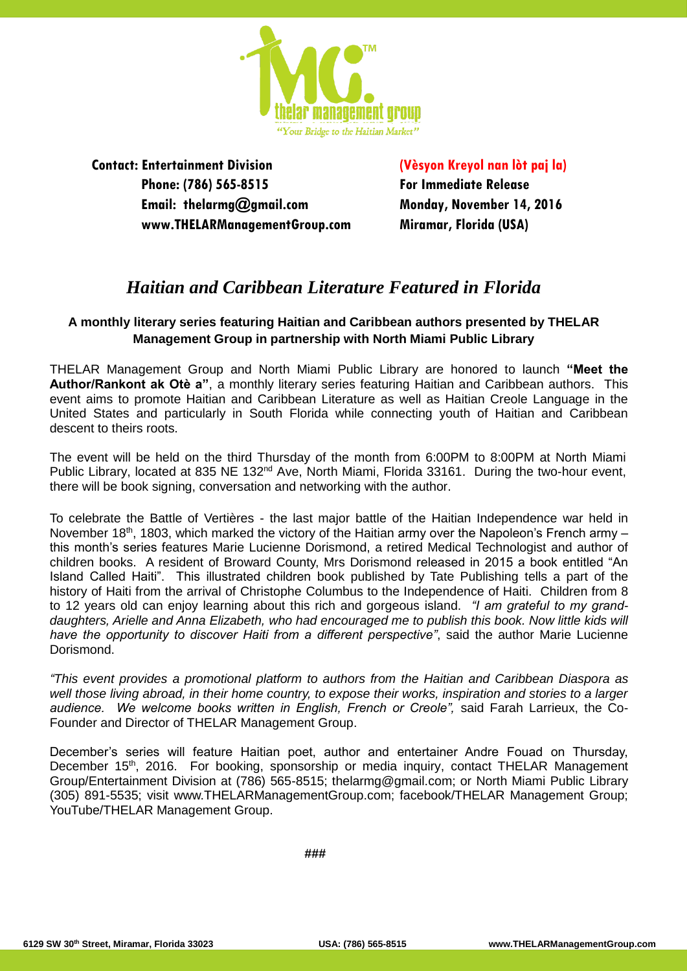

**Contact: Entertainment Division Phone: (786) 565-8515 Email: thelarmg@gmail.com www.THELARManagementGroup.com** **(Vèsyon Kreyol nan lòt paj la) For Immediate Release Monday, November 14, 2016 Miramar, Florida (USA)**

## *Haitian and Caribbean Literature Featured in Florida*

### **A monthly literary series featuring Haitian and Caribbean authors presented by THELAR Management Group in partnership with North Miami Public Library**

THELAR Management Group and North Miami Public Library are honored to launch **"Meet the Author/Rankont ak Otè a"**, a monthly literary series featuring Haitian and Caribbean authors. This event aims to promote Haitian and Caribbean Literature as well as Haitian Creole Language in the United States and particularly in South Florida while connecting youth of Haitian and Caribbean descent to theirs roots.

The event will be held on the third Thursday of the month from 6:00PM to 8:00PM at North Miami Public Library, located at 835 NE 132<sup>nd</sup> Ave, North Miami, Florida 33161. During the two-hour event, there will be book signing, conversation and networking with the author.

To celebrate the Battle of Vertières - the last major battle of the Haitian Independence war held in November 18<sup>th</sup>, 1803, which marked the victory of the Haitian army over the Napoleon's French army – this month's series features Marie Lucienne Dorismond, a retired Medical Technologist and author of children books. A resident of Broward County, Mrs Dorismond released in 2015 a book entitled "An Island Called Haiti". This illustrated children book published by Tate Publishing tells a part of the history of Haiti from the arrival of Christophe Columbus to the Independence of Haiti. Children from 8 to 12 years old can enjoy learning about this rich and gorgeous island. *"I am grateful to my grand*daughters, Arielle and Anna Elizabeth, who had encouraged me to publish this book. Now little kids will *have the opportunity to discover Haiti from a different perspective"*, said the author Marie Lucienne Dorismond.

*"This event provides a promotional platform to authors from the Haitian and Caribbean Diaspora as well those living abroad, in their home country, to expose their works, inspiration and stories to a larger audience. We welcome books written in English, French or Creole",* said Farah Larrieux, the Co-Founder and Director of THELAR Management Group.

December's series will feature Haitian poet, author and entertainer Andre Fouad on Thursday, December 15<sup>th</sup>, 2016. For booking, sponsorship or media inquiry, contact THELAR Management Group/Entertainment Division at (786) 565-8515; thelarmg@gmail.com; or North Miami Public Library (305) 891-5535; visit www.THELARManagementGroup.com; facebook/THELAR Management Group; YouTube/THELAR Management Group.

**###**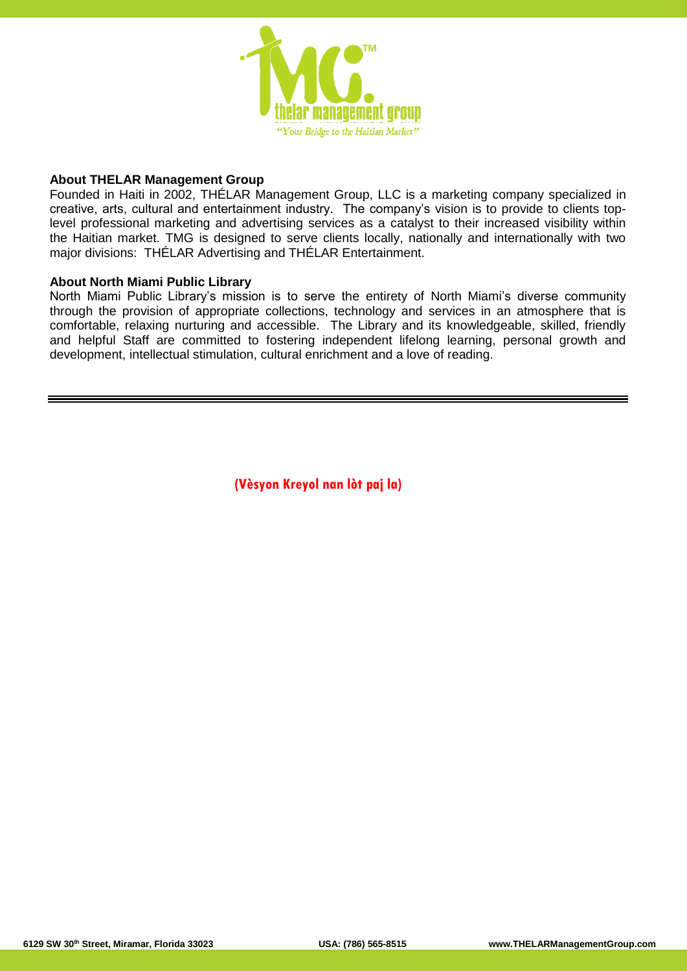

### **About THELAR Management Group**

Founded in Haiti in 2002, THÉLAR Management Group, LLC is a marketing company specialized in creative, arts, cultural and entertainment industry. The company's vision is to provide to clients toplevel professional marketing and advertising services as a catalyst to their increased visibility within the Haitian market. TMG is designed to serve clients locally, nationally and internationally with two major divisions: THÉLAR Advertising and THÉLAR Entertainment.

#### **About North Miami Public Library**

North Miami Public Library's mission is to serve the entirety of North Miami's diverse community through the provision of appropriate collections, technology and services in an atmosphere that is comfortable, relaxing nurturing and accessible. The Library and its knowledgeable, skilled, friendly and helpful Staff are committed to fostering independent lifelong learning, personal growth and development, intellectual stimulation, cultural enrichment and a love of reading.

**(Vèsyon Kreyol nan lòt paj la)**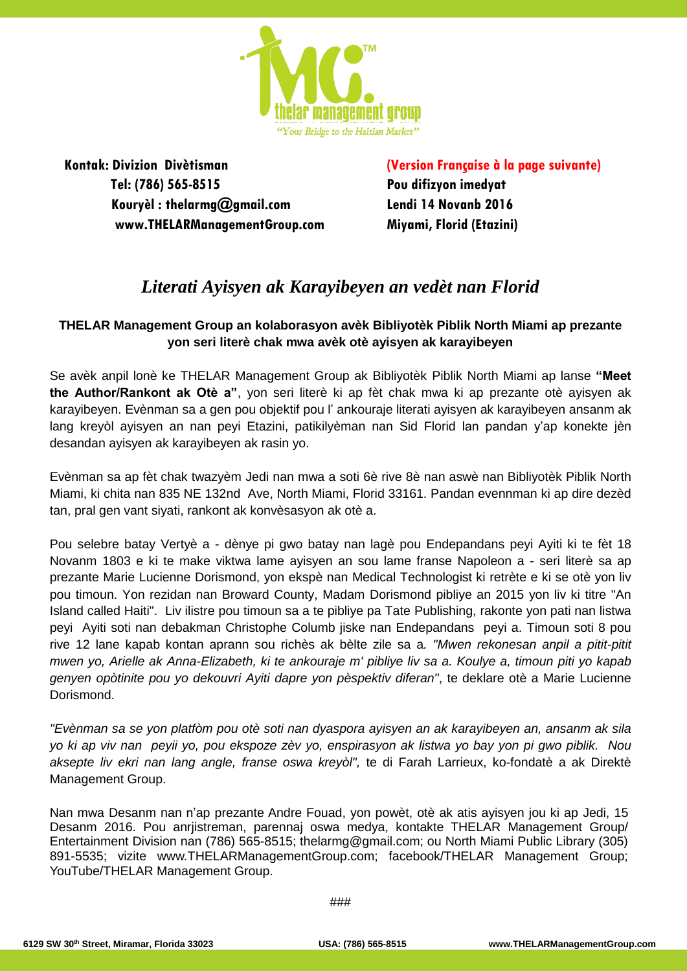

**Kontak: Divizion Divètisman Tel: (786) 565-8515 Kouryèl : thelarmg@gmail.com www.THELARManagementGroup.com**  **(Version Française à la page suivante) Pou difizyon imedyat Lendi 14 Novanb 2016 Miyami, Florid (Etazini)**

# *Literati Ayisyen ak Karayibeyen an vedèt nan Florid*

### **THELAR Management Group an kolaborasyon avèk Bibliyotèk Piblik North Miami ap prezante yon seri literè chak mwa avèk otè ayisyen ak karayibeyen**

Se avèk anpil lonè ke THELAR Management Group ak Bibliyotèk Piblik North Miami ap lanse **"Meet the Author/Rankont ak Otè a"**, yon seri literè ki ap fèt chak mwa ki ap prezante otè ayisyen ak karayibeyen. Evènman sa a gen pou objektif pou l' ankouraje literati ayisyen ak karayibeyen ansanm ak lang kreyòl ayisyen an nan peyi Etazini, patikilyèman nan Sid Florid lan pandan y'ap konekte jèn desandan ayisyen ak karayibeyen ak rasin yo.

Evènman sa ap fèt chak twazyèm Jedi nan mwa a soti 6è rive 8è nan aswè nan Bibliyotèk Piblik North Miami, ki chita nan 835 NE 132nd Ave, North Miami, Florid 33161. Pandan evennman ki ap dire dezèd tan, pral gen vant siyati, rankont ak konvèsasyon ak otè a.

Pou selebre batay Vertyè a - dènye pi gwo batay nan lagè pou Endepandans peyi Ayiti ki te fèt 18 Novanm 1803 e ki te make viktwa lame ayisyen an sou lame franse Napoleon a - seri literè sa ap prezante Marie Lucienne Dorismond, yon ekspè nan Medical Technologist ki retrète e ki se otè yon liv pou timoun. Yon rezidan nan Broward County, Madam Dorismond pibliye an 2015 yon liv ki titre "An Island called Haiti". Liv ilistre pou timoun sa a te pibliye pa Tate Publishing, rakonte yon pati nan listwa peyi Ayiti soti nan debakman Christophe Columb jiske nan Endepandans peyi a. Timoun soti 8 pou rive 12 lane kapab kontan aprann sou richès ak bèlte zile sa a*. "Mwen rekonesan anpil a pitit-pitit mwen yo, Arielle ak Anna-Elizabeth, ki te ankouraje m' pibliye liv sa a. Koulye a, timoun piti yo kapab genyen opòtinite pou yo dekouvri Ayiti dapre yon pèspektiv diferan"*, te deklare otè a Marie Lucienne Dorismond.

*"Evènman sa se yon platfòm pou otè soti nan dyaspora ayisyen an ak karayibeyen an, ansanm ak sila yo ki ap viv nan peyii yo, pou ekspoze zèv yo, enspirasyon ak listwa yo bay yon pi gwo piblik. Nou aksepte liv ekri nan lang angle, franse oswa kreyòl",* te di Farah Larrieux, ko-fondatè a ak Direktè Management Group.

Nan mwa Desanm nan n'ap prezante Andre Fouad, yon powèt, otè ak atis ayisyen jou ki ap Jedi, 15 Desanm 2016. Pou anrjistreman, parennaj oswa medya, kontakte THELAR Management Group/ Entertainment Division nan (786) 565-8515; thelarmg@gmail.com; ou North Miami Public Library (305) 891-5535; vizite www.THELARManagementGroup.com; facebook/THELAR Management Group; YouTube/THELAR Management Group.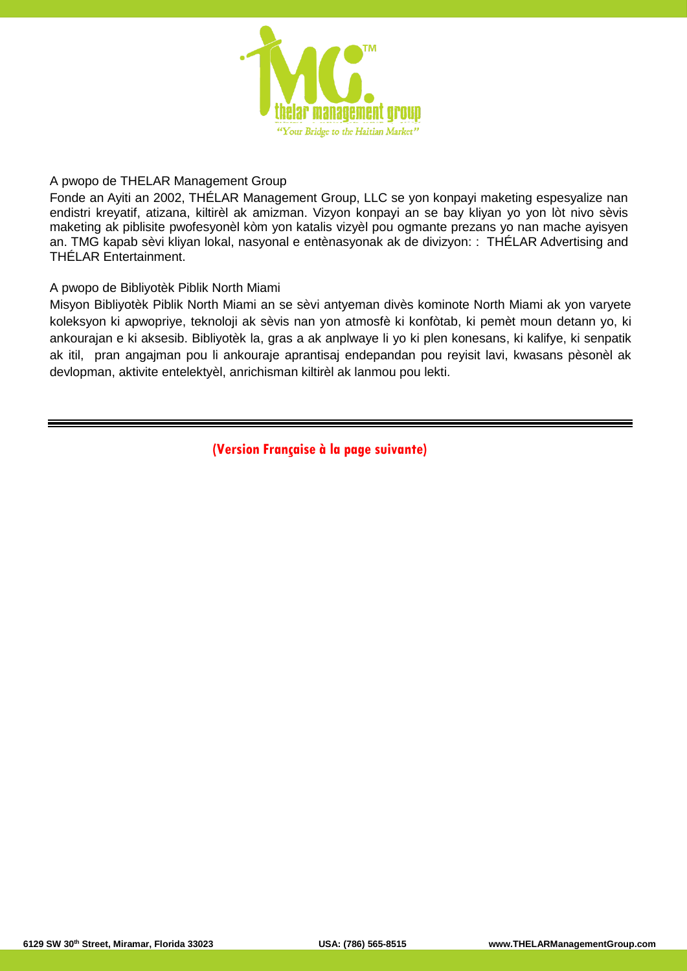

#### A pwopo de THELAR Management Group

Fonde an Ayiti an 2002, THÉLAR Management Group, LLC se yon konpayi maketing espesyalize nan endistri kreyatif, atizana, kiltirèl ak amizman. Vizyon konpayi an se bay kliyan yo yon lòt nivo sèvis maketing ak piblisite pwofesyonèl kòm yon katalis vizyèl pou ogmante prezans yo nan mache ayisyen an. TMG kapab sèvi kliyan lokal, nasyonal e entènasyonak ak de divizyon: : THÉLAR Advertising and THÉLAR Entertainment.

#### A pwopo de Bibliyotèk Piblik North Miami

Misyon Bibliyotèk Piblik North Miami an se sèvi antyeman divès kominote North Miami ak yon varyete koleksyon ki apwopriye, teknoloji ak sèvis nan yon atmosfè ki konfòtab, ki pemèt moun detann yo, ki ankourajan e ki aksesib. Bibliyotèk la, gras a ak anplwaye li yo ki plen konesans, ki kalifye, ki senpatik ak itil, pran angajman pou li ankouraje aprantisaj endepandan pou reyisit lavi, kwasans pèsonèl ak devlopman, aktivite entelektyèl, anrichisman kiltirèl ak lanmou pou lekti.

**(Version Française à la page suivante)**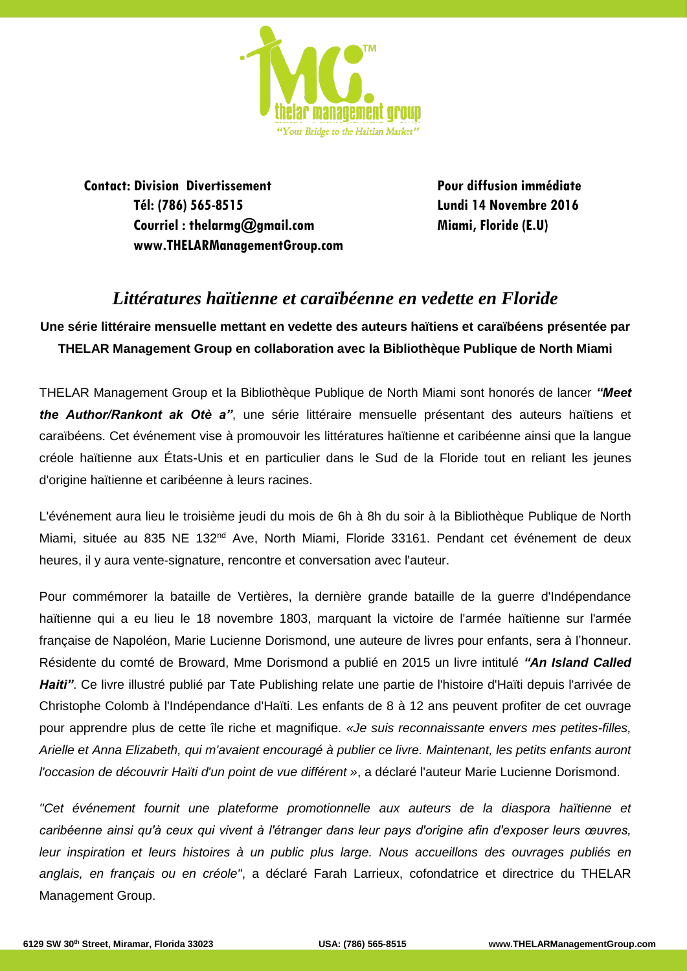

**Contact: Division Divertissement Tél: (786) 565-8515 Courriel : thelarmg@gmail.com www.THELARManagementGroup.com**  **Pour diffusion immédiate Lundi 14 Novembre 2016 Miami, Floride (E.U)**

# *Littératures haïtienne et caraïbéenne en vedette en Floride*

**Une série littéraire mensuelle mettant en vedette des auteurs haïtiens et caraïbéens présentée par THELAR Management Group en collaboration avec la Bibliothèque Publique de North Miami** 

THELAR Management Group et la Bibliothèque Publique de North Miami sont honorés de lancer *"Meet the Author/Rankont ak Otè a"*, une série littéraire mensuelle présentant des auteurs haïtiens et caraïbéens. Cet événement vise à promouvoir les littératures haïtienne et caribéenne ainsi que la langue créole haïtienne aux États-Unis et en particulier dans le Sud de la Floride tout en reliant les jeunes d'origine haïtienne et caribéenne à leurs racines.

L'événement aura lieu le troisième jeudi du mois de 6h à 8h du soir à la Bibliothèque Publique de North Miami, située au 835 NE 132<sup>nd</sup> Ave, North Miami, Floride 33161. Pendant cet événement de deux heures, il y aura vente-signature, rencontre et conversation avec l'auteur.

Pour commémorer la bataille de Vertières, la dernière grande bataille de la guerre d'Indépendance haïtienne qui a eu lieu le 18 novembre 1803, marquant la victoire de l'armée haïtienne sur l'armée française de Napoléon, Marie Lucienne Dorismond, une auteure de livres pour enfants, sera à l'honneur. Résidente du comté de Broward, Mme Dorismond a publié en 2015 un livre intitulé *"An Island Called Haiti"*. Ce livre illustré publié par Tate Publishing relate une partie de l'histoire d'Haïti depuis l'arrivée de Christophe Colomb à l'Indépendance d'Haïti. Les enfants de 8 à 12 ans peuvent profiter de cet ouvrage pour apprendre plus de cette île riche et magnifique. *«Je suis reconnaissante envers mes petites-filles, Arielle et Anna Elizabeth, qui m'avaient encouragé à publier ce livre. Maintenant, les petits enfants auront l'occasion de découvrir Haïti d'un point de vue différent »*, a déclaré l'auteur Marie Lucienne Dorismond.

*"Cet événement fournit une plateforme promotionnelle aux auteurs de la diaspora haïtienne et caribéenne ainsi qu'à ceux qui vivent à l'étranger dans leur pays d'origine afin d'exposer leurs œuvres, leur inspiration et leurs histoires à un public plus large. Nous accueillons des ouvrages publiés en anglais, en français ou en créole"*, a déclaré Farah Larrieux, cofondatrice et directrice du THELAR Management Group.